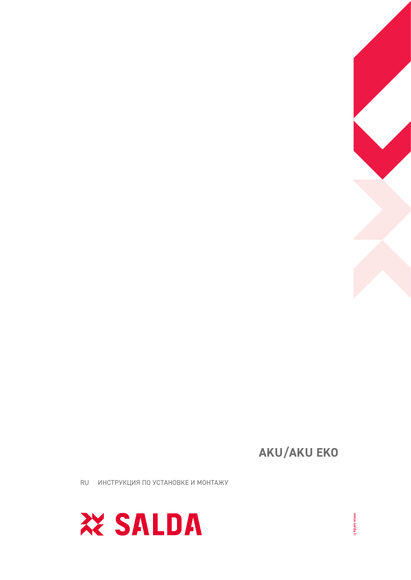

RU ИНСТРУКЦИЯ ПО УСТАНОВКЕ И МОНТАЖУ

**AKU/AKU EKO** 

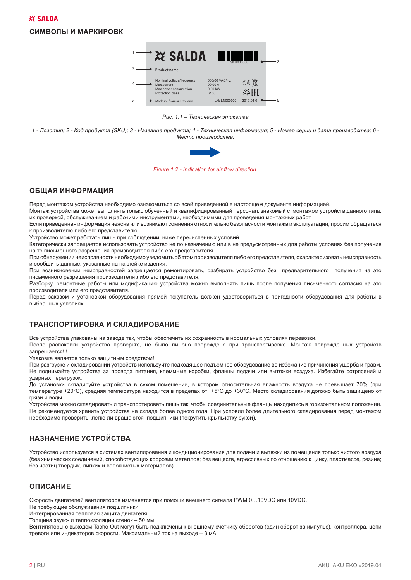#### **СИМВОЛЫ И МАРКИРОВК**



Рис. 1.1 – Техническая этикетка

1 - Логотип: 2 - Код продукта (SKU): 3 - Название продукта: 4 - Техническая информация: 5 - Номер серии и дата производства: 6 -**Место производства.** 



**Figure 1.2 - Indication for air flow direction.** 

## **ОБШАЯ ИНФОРМАЦИЯ**

.<br>Монтаж устройства может выполнять только обученный и квалифицированный лерсонал, знакомый с. монтажом устро их проверкой, обспуживанием и рабочими инструментами, необходимыми для проведения монтажных работ. n sa s # "

Если привеленная информация неясна или возникают сомнения относительно безопасности монтажа и эксплуа к производителю либо его представителю. & "

метройство может работать пищь при собп Устройство может работать лишь при соблюдении ниже перечисленных условий.<br>Категорически запрешается использовать устройство не по назначению или в не г

He TO DIACLMOND OF ASSAULT HIS DOMSPORTATION DIAGO OF DRAFCTS BUTCHES AND THE LIST OF THE CALIF. the contract of the contract of the contract of the contract of the contract of the contract of the contract of the contract of the contract of the contract of the contract of the contract of the contract of the contract o

при обнаружении неисправности необходимо увеломить об этом произвог тери с сперушенно постојешно с постојениот у седениот.<br>И сообшить ланные пуказанные на наклейке излелия and the account of the co # "  $\frac{1}{2}$  

при возникновании наисправностай запращается ра - " There are a strong the state of the state of the state of the state of the state of the state of the state of the state of the state of the state of the state of the state of the state of the state of the state of the st

 #( # TOO MARK THE TABLE TO A THE TABLE TO A THE TABLE TO A TABLE TO A TABLE TO THE TABLE TO A TABLE TO A TABLE TO A n a sh (  $\frac{1}{2}$  ,  $\frac{1}{2}$  ,  $\frac{1}{2}$  ,  $\frac{1}{2}$  ,  $\frac{1}{2}$  ,  $\frac{1}{2}$  ,  $\frac{1}{2}$  ,  $\frac{1}{2}$  ,  $\frac{1}{2}$  ,  $\frac{1}{2}$  ,  $\frac{1}{2}$  ,  $\frac{1}{2}$  ,  $\frac{1}{2}$  ,  $\frac{1}{2}$  ,  $\frac{1}{2}$  ,  $\frac{1}{2}$  ,  $\frac{1}{2}$  ,  $\frac{1}{2}$  ,  $\frac{$ 

препедательным это представляет.<br>Перед заказом и установкой оборудс <u>рыбранных усповиях.</u> and the company of the company of the company of the company of the company of the company of the company of the company of the company of the company of the company of the company of the company of the company of the comp  $\mathcal{L}$  and  $\mathcal{L}$  and  $\mathcal{L}$  and  $\mathcal{L}$  and  $\mathcal{L}$ 

## ТРАНСПОРТИРОВКА И СКЛАДИРОВАНИЕ

после распаковки устройства проверьте не было ли оно повремлено при транспортировке Монтаж п  $\frac{1}{2}$ the company of the company of the company of the company of the company of the company of the company of the company of the company of the company of the company of the company of the company of the company of the company

таковка авлае<br>Улаковка авлае Упаковка является только защитным средством!<br>При разгрузке и склалировании устройств исполі

- разрешения и исторического просто последника и продавать на странительности продавать на просто просто на ст<br>Не полнимайте устройства за поовола питания клеммные коробки, фланцы полачи или вытяжки возлуха. Избегайте сот VERBULLY BADATOVAOV  $\mathcal{L}$  is a set of the set of the set of the set of the set of the set of the set of the set of the set of the set of the set of the set of the set of the set of the set of the set of the set of the set of the set of th

До установки складируйте устройства в сухом помещении, в котором относительная влажность воздуха не превышает 70% (при — с советство в советство с советства в пределах от +5°С до +30°С. Место складирования должно быть зашищено от<br>температуре +20°С), средняя температура находится в пределах от +5°С до +30°С. Место складирования должно быть י<br>מם מו מוכסמת =>8?@B" =D?@=F8?@  

.<br>Устройства мо<br>Не рекоменду раксмандуатся хранить устройства на судале более свы, через при колонии более движные и при приведения на прив<br>Векомендуатся хранить устройства на судале более одного года. При условии более длительного судалирования дере необхолимо проверить, пегуо пи вращаются, полшипники (покрутить крыльцатку рукой) # 2002 | Participants of the Participants of the Participants of the Participants of the Participants of the Participants of the Participants of the Participants of the Participants of the Participants of the Participants "#% ( < ! B

## **НАЗНАЧЕНИЕ УСТРОЙСТВА**

Устройство используется в системах вентилирования и кондиционирования для подачи и вытяжки из помещения только чистого воздуха .<br>2 ΥΜΜΜΝΩΣΚΙΑΥ ΣΩΩΠΝΗΘΗΜΑ ΣΠΟΣΟΓΟΣΤΡΙΚΟΠΗΝ ΚΟΝΝΟΣΜΜ ΜΑΤΑΠΠΟΡ: ΠΩΣ ΒΑΠΙΑΣΤΡΙΑΓΟΣΟΜΡΗΝ ΚΟ ΟΤΗΟΠΙΑΗΜΑ ΚΙΠΜΗΝ ΠΠΑΣΤΜΑΣΣΑ ΠΑΡΜΗΑ: теритиканда колдонулган.<br>Көз частин тверлых - пипких и вопокнистых материалов)  $\frac{1}{2}$ ", "", " <u>"</u>  $\cdots$  =  $\cdots$   $\cdots$   $\cdots$   $\cdots$   $\cdots$   $\cdots$   $\cdots$   $\cdots$   $\cdots$   $\cdots$   $\cdots$   $\cdots$   $\cdots$   $\cdots$   $\cdots$   $\cdots$   $\cdots$   $\cdots$   $\cdots$   $\cdots$   $\cdots$   $\cdots$   $\cdots$   $\cdots$   $\cdots$   $\cdots$   $\cdots$   $\cdots$   $\cdots$   $\cdots$   $\cdots$   $\cdots$   $\cdots$   $\cdots$   $\cdots$   $\cd$ " G . н. " "The contract of the contract of the contract of the contract of the contract of the contract of the contract of the contract of the contract of the contract of the contract of the contract of the contract of the contrac Between the contract of the contract of the contract of the contract of the contract of the contract of the contract of the contract of the contract of the contract of the contract of the contract of the contract of the co

## **ОПИСАНИЕ**

Скорость двигателей вентиляторов изменяется при помощи внешнего сигнала PWM 0...10VDC или 10VDC.

элэрээтэ дэлгэл ээтэг зэлтлэлтэрээ томолоо.<br>На таабуюшиа обспуживания полшипники

тте тресутсщие сеступнисания педшининии<br>Интегрированная тепповая зашита пвигате Топшина звуко- и теплоизопяции стенок – 50 м

] 
^ `D8 TDAROLI ULU UHUWATODOR CKODOCTIA MAKCUMAULLUM TOK HA BLIXOUA - 3 MA  $\mathcal{L}(\mathbf{r}) = \mathcal{L}(\mathbf{r})$  is the set of  $\mathcal{L}(\mathbf{r})$  is the set of  $\mathcal{L}(\mathbf{r})$ # the makes. Finance Concept Common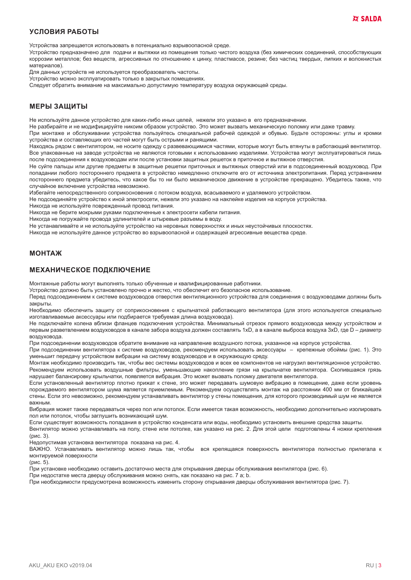## УСПОВИЯ РАБОТЫ

Устройства запрещается использовать в потенциально взрывоопасной среде.

Устройство предназначено для подачи и вытяжки из помещения только чистого воздуха (без химических соединений, способствующих коррозии металлов; без веществ, агрессивных по отношению к цинку, пластмассе, резине; без частиц твердых, липких и волокнистых материалов).

Для данных устройств не используется преобразователь частоты.

Устройство можно эксплуатировать только в закрытых помещениях.

Следует обратить внимание на максимально допустимую температуру воздуха окружающей среды.

#### МЕРЫ ЗАШИТЫ

Не используйте данное устройство для каких-либо иных целей, нежели это указано в его предназначении.

Не разбирайте и не модифицируйте никоим образом устройство. Это может вызвать механическую поломку или даже травму. При монтаже и обслуживании устройства пользуйтесь специальной рабочей одеждой и обувью. Будьте осторожны: углы и кромки

устройства и составляющих его частей могут быть острыми и ранящими.

Находясь рядом с вентилятором, не носите одежду с развевающимися частями, которые могут быть втянуты в работающий вентилятор. Все упакованные на заводе устройства не являются готовыми к использованию изделиями. Устройства могут эксплуатироваться лишь после подсоединения к воздуховодам или после установки защитных решеток в приточное и вытяжное отверстия.

Не суйте пальцы или другие предметы в защитные решетки приточных и вытяжных отверстий или в подсоединенный воздуховод. При попадании любого постороннего предмета в устройство немедленно отключите его от источника электропитания. Перед устранением постороннего предмета убедитесь, что какое бы то ни было механическое движение в устройстве прекращено. Убедитесь также, что случайное включение устройства невозможно.

Избегайте непосредственного соприкосновения с потоком воздуха, всасываемого и удаляемого устройством.

Не подсоединяйте устройство к иной электросети, нежели это указано на наклейке изделия на корпусе устройства.

Никогда не используйте поврежденный провод питания.

Никогда не берите мокрыми руками подключенные к электросети кабели питания.

Никогда не погружайте провода удлинителей и штыревые разъемы в воду.

Не устанавливайте и не используйте устройство на неровных поверхностях и иных неустойчивых плоскостях.

Никогда не используйте данное устройство во взрывоопасной и содержащей агрессивные вещества среде.

#### **МОНТАЖ**

#### **МЕХАНИЧЕСКОЕ ПОДКЛЮЧЕНИЕ**

Монтажные работы могут выполнять только обученные и квалифицированные работники.

Устройство должно быть установлено прочно и жестко, что обеспечит его безопасное использование.

Перед подсоединением к системе воздуховодов отверстия вентиляционного устройства для соединения с воздуховодами должны быть закрыты.

Необходимо обеспечить защиту от соприкосновения с крыльчаткой работающего вентилятора (для этого используются специально изготавливаемые аксессуары или подбирается требуемая длина воздуховода).

Не подключайте колена вблизи фланцев подключения устройства. Минимальный отрезок прямого воздуховода между устройством и первым разветвлением воздуховодов в канале забора воздуха должен составлять 1xD, а в канале выброса воздуха 3xD, где D - диаметр возлуховола.

При подсоединении воздуховодов обратите внимание на направление воздушного потока, указанное на корпусе устройства.

При подсоединении вентилятора к системе воздуховодов, рекомендуем использовать аксессуары - крепежные обоймы (рис. 1). Это уменьшит передачу устройством вибрации на систему воздуховодов и в окружающую среду.

Монтаж необходимо производить так, чтобы вес системы воздуховодов и всех ее компонентов не нагрузил вентиляционное устройство. Рекомендуем использовать воздушные фильтры, уменьшающие накопление грязи на крыльчатке вентилятора. Скопившаяся грязь нарушает балансировку крыльчатки, появляется вибрация. Это может вызвать поломку двигателя вентилятора.

Если установленный вентилятор плотно прижат к стене, это может передавать шумовую вибрацию в помещение, даже если уровень порождаемого вентилятором шума является приемлемым. Рекомендуем осуществлять монтаж на расстоянии 400 мм от ближайшей стены. Если это невозможно, рекомендуем устанавливать вентилятор у стены помещения, для которого производимый шум не является **важным.** 

Вибрация может также передаваться через пол или потолок. Если имеется такая возможность, необходимо дополнительно изолировать пол или потолок, чтобы заглушить возникающий шум.

Если существует возможность попадания в устройство конденсата или воды, необходимо установить внешние средства защиты.

Вентилятор можно устанавливать на полу, стене или потолке, как указано на рис. 2. Для этой цели подготовлены 4 ножки крепления  $(pnc. 3)$ .

Недопустимая установка вентилятора показана на рис. 4.

ВАЖНО. Устанавливать вентилятор можно лишь так, чтобы вся крепящаяся поверхность вентилятора полностью прилегала к монтируемой поверхности

(рис. 5).

При установке необходимо оставить достаточно места для открывания дверцы обслуживания вентилятора (рис. 6).

При недостатке места дверцу обслуживания можно снять, как показано на рис. 7 а; b.

При необходимости предусмотрена возможность изменить сторону открывания дверцы обслуживания вентилятора (рис. 7).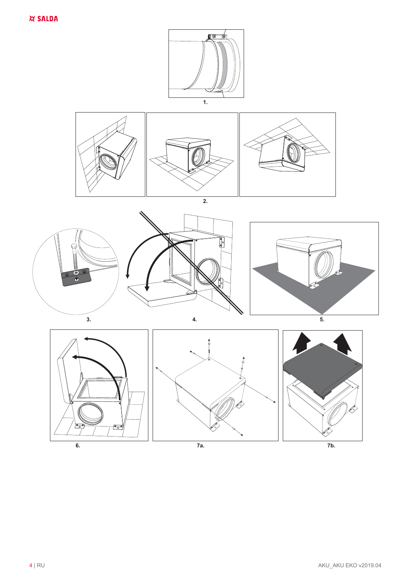

 $7<sub>b</sub>$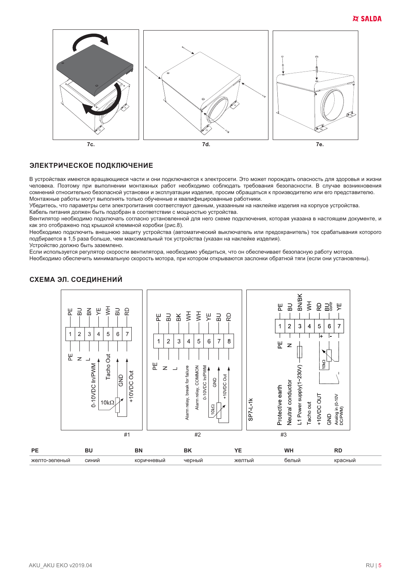

#### ЭЛЕКТРИЧЕСКОЕ ПОДКЛЮЧЕНИЕ

В устройствах имеются вращающиеся части и они подключаются к электросети. Это может порождать опасность для здоровья и жизни человека. Поэтому при выполнении монтажных работ необходимо соблюдать требования безопасности. В случае возникновения сомнений относительно безопасной установки и эксплуатации изделия, просим обращаться к производителю или его представителю. Монтажные работы могут выполнять только обученные и квалифицированные работники.

Убедитесь, что параметры сети электропитания соответствуют данным, указанным на наклейке изделия на корпусе устройства.

Кабель питания должен быть подобран в соответствии с мощностью устройства.

Вентилятор необходимо подключать согласно установленной для него схеме подключения, которая указана в настоящем документе, и как это отображено под крышкой клеммной коробки (рис.8).

Необходимо подключить внешнюю защиту устройства (автоматический выключатель или предохранитель) ток срабатывания которого подбирается в 1,5 раза больше, чем максимальный ток устройства (указан на наклейке изделия).

Устройство должно быть заземлено.

Если используется регулятор скорости вентилятора, необходимо убедиться, что он обеспечивает безопасную работу мотора.

Необходимо обеспечить минимальную скорость мотора, при котором открываются заслонки обратной тяги (если они установлены).





PE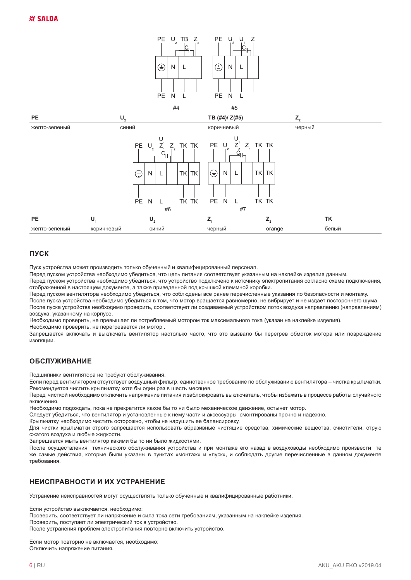



## ПУСК

Пуск устройства может производить только обученный и квалифицированный персонал.

Перед пуском устройства необходимо убедиться, что цепь питания соответствует указанным на наклейке изделия данным.

Перед пуском устройства необходимо убедиться, что устройство подключено к источнику электропитания согласно схеме подключения, отображенной в настоящем документе, а также приведенной под крышкой клеммной коробки.

Перед пуском вентилятора необходимо убедиться, что соблюдены все ранее перечисленные указания по безопасности и монтажу. После пуска устройства необходимо убедиться в том, что мотор вращается равномерно, не вибрирует и не издает постороннего шума. После пуска устройства необходимо проверить, соответствует ли создаваемый устройством поток воздуха направлению (направлениям) воздуха, указанному на корпусе.

Необходимо проверить, не превышает ли потребляемый мотором ток максимального тока (указан на наклейке изделия). Необходимо проверить, не перегревается ли мотор.

Запрещается включать и выключать вентилятор настолько часто, что это вызвало бы перегрев обмоток мотора или повреждение изоляции.

## **ОБСЛУЖИВАНИЕ**

Подшипники вентилятора не требуют обслуживания.

Если перед вентилятором отсутствует воздушный фильтр, единственное требование по обслуживанию вентилятора - чистка крыльчатки. Рекомендуется чистить крыльчатку хотя бы один раз в шесть месяцев.

Перед чисткой необходимо отключить напряжение питания и заблокировать выключатель, чтобы избежать в процессе работы случайного включения

Необходимо подождать, пока не прекратится какое бы то ни было механическое движение, остынет мотор.

Следует убедиться, что вентилятор и установленные к нему части и аксессуары смонтированы прочно и надежно.

Крыльчатку необходимо чистить осторожно, чтобы не нарушить ее балансировку.

Для чистки крыльчатки строго запрешается использовать абразивные чистяшие средства, химические вешества, очистители, струю сжатого воздуха и любые жидкости.

Запрещается мыть вентилятор какими бы то ни было жидкостями.

После осуществления технического обслуживания устройства и при монтаже его назад в воздуховоды необходимо произвести те же самые действия, которые были указаны в пунктах «монтаж» и «пуск», и соблюдать другие перечисленные в данном документе требования

## НЕИСПРАВНОСТИ И ИХ УСТРАНЕНИЕ

Устранение неисправностей могут осуществлять только обученные и квалифицированные работники.

Если устройство выключается, необходимо:

Проверить, соответствует ли напряжение и сила тока сети требованиям, указанным на наклейке изделия.

Проверить, поступает ли электрический ток в устройство.

После устранения проблем электропитания повторно включить устройство.

Если мотор повторно не включается, необходимо: Отключить напряжение питания.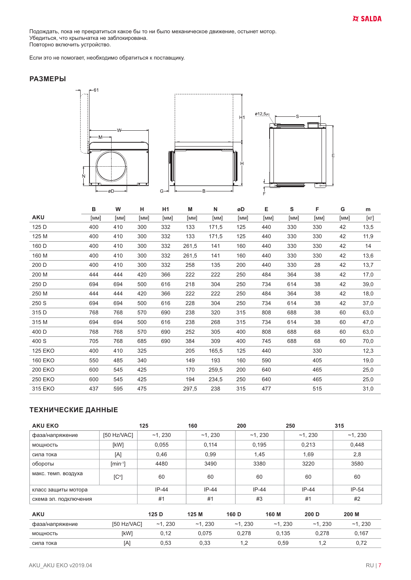Подождать, пока не прекратиться какое бы то ни было механическое движение, остынет мотор.<br>Убедиться, что крыльчатка не заблокирована.<br>Повторно включить устройство.

Если это не помогает, необходимо обратиться к поставщику.

## **РАЗМЕРЫ**



|                | в    | W    | н    | H <sub>1</sub> | M     | N     | øD   | Е    | S    | F    | G    | m            |
|----------------|------|------|------|----------------|-------|-------|------|------|------|------|------|--------------|
| <b>AKU</b>     | [мм] | [MM] | [MM] | [MM]           | [MM]  | [MM]  | [MM] | [MM] | [MM] | [MM] | [MM] | $[\kappa$ г] |
| 125 D          | 400  | 410  | 300  | 332            | 133   | 171,5 | 125  | 440  | 330  | 330  | 42   | 13,5         |
| 125 M          | 400  | 410  | 300  | 332            | 133   | 171,5 | 125  | 440  | 330  | 330  | 42   | 11,9         |
| 160 D          | 400  | 410  | 300  | 332            | 261,5 | 141   | 160  | 440  | 330  | 330  | 42   | 14           |
| 160 M          | 400  | 410  | 300  | 332            | 261,5 | 141   | 160  | 440  | 330  | 330  | 42   | 13,6         |
| 200 D          | 400  | 410  | 300  | 332            | 258   | 135   | 200  | 440  | 330  | 28   | 42   | 13,7         |
| 200 M          | 444  | 444  | 420  | 366            | 222   | 222   | 250  | 484  | 364  | 38   | 42   | 17,0         |
| 250 D          | 694  | 694  | 500  | 616            | 218   | 304   | 250  | 734  | 614  | 38   | 42   | 39,0         |
| 250 M          | 444  | 444  | 420  | 366            | 222   | 222   | 250  | 484  | 364  | 38   | 42   | 18,0         |
| 250 S          | 694  | 694  | 500  | 616            | 228   | 304   | 250  | 734  | 614  | 38   | 42   | 37,0         |
| 315 D          | 768  | 768  | 570  | 690            | 238   | 320   | 315  | 808  | 688  | 38   | 60   | 63,0         |
| 315 M          | 694  | 694  | 500  | 616            | 238   | 268   | 315  | 734  | 614  | 38   | 60   | 47,0         |
| 400 D          | 768  | 768  | 570  | 690            | 252   | 305   | 400  | 808  | 688  | 68   | 60   | 63,0         |
| 400 S          | 705  | 768  | 685  | 690            | 384   | 309   | 400  | 745  | 688  | 68   | 60   | 70,0         |
| <b>125 EKO</b> | 400  | 410  | 325  |                | 205   | 165,5 | 125  | 440  |      | 330  |      | 12,3         |
| <b>160 EKO</b> | 550  | 485  | 340  |                | 149   | 193   | 160  | 590  |      | 405  |      | 19,0         |
| <b>200 EKO</b> | 600  | 545  | 425  |                | 170   | 259,5 | 200  | 640  |      | 465  |      | 25,0         |
| <b>250 EKO</b> | 600  | 545  | 425  |                | 194   | 234,5 | 250  | 640  |      | 465  |      | 25,0         |
| 315 EKO        | 437  | 595  | 475  |                | 297,5 | 238   | 315  | 477  |      | 515  |      | 31,0         |

# ТЕХНИЧЕСКИЕ ДАННЫЕ

| <b>AKU EKO</b>        |               | 125      | 160      | 200      | 250      |          | 315      |
|-----------------------|---------------|----------|----------|----------|----------|----------|----------|
| фаза/напряжение       | [50 Hz/VAC]   | $-1,230$ | $-1,230$ |          | $-1,230$ | $-1,230$ | $-1,230$ |
| мощность              | [kW]          | 0,055    | 0,114    |          | 0,195    | 0,213    | 0,448    |
| сила тока             | [A]           | 0,46     | 0,99     |          | 1,45     | 1,69     | 2,8      |
| обороты               | $[min^{-1}]$  | 4480     | 3490     |          | 3380     | 3220     | 3580     |
| макс. темп. воздуха   | $[C^{\circ}]$ | 60       | 60       |          | 60       | 60       | 60       |
| класс защиты мотора   |               | $IP-44$  | $IP-44$  | $IP-44$  |          | $IP-44$  | $IP-54$  |
| схема эл. подключения |               | #1       | #1       |          | #3       | #1       | #2       |
| <b>AKU</b>            |               | 125 D    | 125 M    | 160 D    | 160 M    | 200 D    | 200 M    |
| фаза/напряжение       | [50 Hz/VAC]   | $-1,230$ | $-1,230$ | $-1,230$ | ~1.230   | ~1.230   | $-1,230$ |
| МОЩНОСТЬ              | [kW]          | 0,12     | 0,075    | 0,278    | 0,135    | 0,278    | 0,167    |
| сила тока             | [A]           | 0,53     | 0,33     | 1,2      | 0,59     | 1,2      | 0,72     |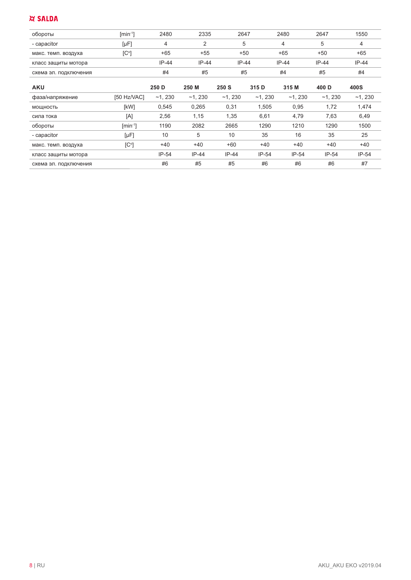# **XX SALDA**

| обороты               | $[min^{-1}]$ | 2480    | 2335    | 2647    | 2480    | 2647    | 1550    |
|-----------------------|--------------|---------|---------|---------|---------|---------|---------|
| - capacitor           | [µF]         |         |         |         | Δ       | b       |         |
| макс. темп. воздуха   | [C°]         | $+65$   | $+55$   | $+50$   | $+65$   | $+50$   | $+65$   |
| класс защиты мотора   |              | $IP-44$ | $IP-44$ | $IP-44$ | $IP-44$ | $IP-44$ | $IP-44$ |
| схема эл. подключения |              | #4      | #5      | #5      | #4      | #5      | #4      |
|                       |              |         |         |         |         |         |         |

|               | 250 D    | 250 M   | 250 S    | 315 D   | 315 M   | 400 D    | 400S     |
|---------------|----------|---------|----------|---------|---------|----------|----------|
| [50 Hz/VAC]   | $-1,230$ | ~1.230  | $-1,230$ | ~1.230  | ~1.230  | $-1,230$ | $-1,230$ |
| [kW]          | 0,545    | 0,265   | 0,31     | 1,505   | 0,95    | 1,72     | 1,474    |
| [A]           | 2,56     | 1,15    | 1,35     | 6,61    | 4,79    | 7,63     | 6,49     |
| $[min^{-1}]$  | 1190     | 2082    | 2665     | 1290    | 1210    | 1290     | 1500     |
| $[\mu F]$     | 10       | 5       | 10       | 35      | 16      | 35       | 25       |
| $[C^{\circ}]$ | $+40$    | $+40$   | $+60$    | $+40$   | $+40$   | $+40$    | $+40$    |
|               | $IP-54$  | $IP-44$ | $IP-44$  | $IP-54$ | $IP-54$ | $IP-54$  | $IP-54$  |
|               | #6       | #5      | #5       | #6      | #6      | #6       | #7       |
|               |          |         |          |         |         |          |          |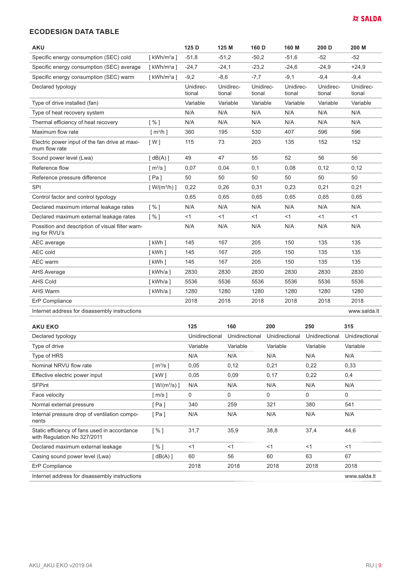#### **ECODESIGN DATA TABLE**

| <b>AKU</b>                                                        |                       | 125 D               | 125 M               | 160 D               | 160 M               | 200 D               | 200 M               |
|-------------------------------------------------------------------|-----------------------|---------------------|---------------------|---------------------|---------------------|---------------------|---------------------|
| Specific energy consumption (SEC) cold                            | [ $kWh/m^2a$ ]        | $-51,8$             | $-51,2$             | $-50,2$             | $-51,6$             | $-52$               | $-52$               |
| Specific energy consumption (SEC) average                         | [ $kWh/m^2a$ ]        | $-24,7$             | $-24,1$             | $-23,2$             | $-24,6$             | $-24.9$             | $+24.9$             |
| Specific energy consumption (SEC) warm                            | [ $kWh/m^2a$ ]        | $-9,2$              | $-8,6$              | $-7,7$              | $-9,1$              | $-9,4$              | $-9,4$              |
| Declared typology                                                 |                       | Unidirec-<br>tional | Unidirec-<br>tional | Unidirec-<br>tional | Unidirec-<br>tional | Unidirec-<br>tional | Unidirec-<br>tional |
| Type of drive installed (fan)                                     |                       | Variable            | Variable            | Variable            | Variable            | Variable            | Variable            |
| Type of heat recovery system                                      |                       | N/A                 | N/A                 | N/A                 | N/A                 | N/A                 | N/A                 |
| Thermal efficiency of heat recovery                               | [%]                   | N/A                 | N/A                 | N/A                 | N/A                 | N/A                 | N/A                 |
| Maximum flow rate                                                 | $\lceil m^3/h \rceil$ | 360                 | 195                 | 530                 | 407                 | 596                 | 596                 |
| Electric power input of the fan drive at maxi-<br>mum flow rate   | $\lceil W \rceil$     | 115                 | 73                  | 203                 | 135                 | 152                 | 152                 |
| Sound power level (Lwa)                                           | [dB(A)]               | 49                  | 47                  | 55                  | 52                  | 56                  | 56                  |
| Reference flow                                                    | $\lceil m^3/s \rceil$ | 0,07                | 0,04                | 0,1                 | 0,08                | 0,12                | 0,12                |
| Reference pressure difference                                     | [Pa]                  | 50                  | 50                  | 50                  | 50                  | 50                  | 50                  |
| <b>SPI</b>                                                        | $[ W/(m^3/h) ]$       | 0,22                | 0,26                | 0,31                | 0,23                | 0,21                | 0,21                |
| Control factor and control typology                               |                       | 0,65                | 0,65                | 0,65                | 0,65                | 0,65                | 0,65                |
| Declared maximum internal leakage rates                           | $1\%1$                | N/A                 | N/A                 | N/A                 | N/A                 | N/A                 | N/A                 |
| Declared maximum external leakage rates                           | [%]                   | <1                  | $<$ 1               | $<$ 1               | $<$ 1               | $<$ 1               | $<$ 1               |
| Possition and description of visual filter warn-<br>ing for RVU's |                       | N/A                 | N/A                 | N/A                 | N/A                 | N/A                 | N/A                 |
| AEC average                                                       | [kWh]                 | 145                 | 167                 | 205                 | 150                 | 135                 | 135                 |
| AEC cold                                                          | [kWh]                 | 145                 | 167                 | 205                 | 150                 | 135                 | 135                 |
| AEC warm                                                          | [kWh]                 | 145                 | 167                 | 205                 | 150                 | 135                 | 135                 |
| <b>AHS Average</b>                                                | [kWh/a]               | 2830                | 2830                | 2830                | 2830                | 2830                | 2830                |
| <b>AHS Cold</b>                                                   | [kWh/a]               | 5536                | 5536                | 5536                | 5536                | 5536                | 5536                |
| <b>AHS Warm</b>                                                   | [kWh/a]               | 1280                | 1280                | 1280                | 1280                | 1280                | 1280                |
| ErP Compliance                                                    |                       | 2018                | 2018                | 2018                | 2018                | 2018                | 2018                |
| Internet address for disassembly instructions                     |                       |                     |                     |                     |                     |                     | www.salda.lt        |

| <b>AKU EKO</b>                                                              |                                            | 125            | 160            | 200            | 250            | 315            |
|-----------------------------------------------------------------------------|--------------------------------------------|----------------|----------------|----------------|----------------|----------------|
| Declared typology                                                           |                                            | Unidirectional | Unidirectional | Unidirectional | Unidirectional | Unidirectional |
| Type of drive                                                               |                                            | Variable       | Variable       | Variable       | Variable       | Variable       |
| Type of HRS                                                                 |                                            | N/A            | N/A            | N/A            | N/A            | N/A            |
| Nominal NRVU flow rate                                                      | [ $m^3/s$ ]                                | 0,05           | 0,12           | 0,21           | 0,22           | 0,33           |
| Effective electric power input                                              | [ kW ]                                     | 0,05           | 0,09           | 0,17           | 0,22           | 0,4            |
| <b>SFPint</b>                                                               | [ $\textsf{W}/\textsf{(m}^3\textsf{/s)}$ ] | N/A            | N/A            | N/A            | N/A            | N/A            |
| Face velocity                                                               | ∫ m/s ]                                    | 0              | 0              | 0              | 0              | 0              |
| Normal external pressure                                                    | 「Pa ]                                      | 340            | 259            | 321            | 380            | 541            |
| Internal pressure drop of ventilation compo-<br>nents                       | 「Pa ]                                      | N/A            | N/A            | N/A            | N/A            | N/A            |
| Static efficiency of fans used in accordance<br>with Regulation No 327/2011 | i % 1                                      | 31,7           | 35,9           | 38,8           | 37,4           | 44,6           |
| Declared maximum external leakage                                           | [%]                                        | <1             | <1             | $<$ 1          | $<$ 1          | $<$ 1          |
| Casing sound power level (Lwa)                                              | [dB(A)]                                    | 60             | 56             | 60             | 63             | 67             |
| ErP Compliance                                                              |                                            | 2018           | 2018           | 2018           | 2018           | 2018           |
| Internet address for disassembly instructions                               |                                            |                |                |                |                | www.salda.lt   |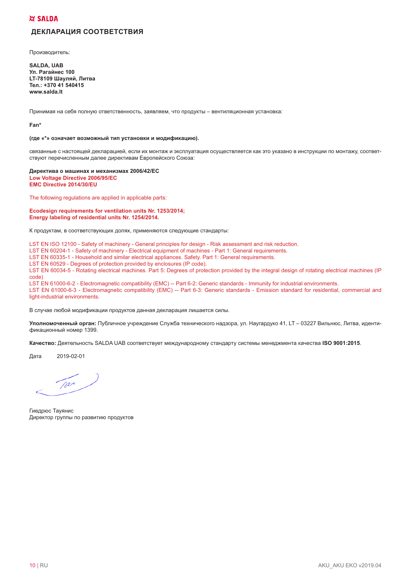#### **XX SALDA**

## ДЕКЛАРАЦИЯ СООТВЕТСТВИЯ

Производитель:

**SALDA, UAB** Ул. Рагайнес 100 **LT-78109 Шауляй, Литва** Тел.: +370 41 540415 www.salda.lt

Принимая на себя полную ответственность, заявляем, что продукты - вентиляционная установка:

Fan\*

#### (где «\*» означает возможный тип установки и модификацию).

связанные с настоящей декларацией, если их монтаж и эксплуатация осуществляется как это указано в инструкции по монтажу, соответствуют перечисленным далее директивам Европейского Союза:

Директива о машинах и механизмах 2006/42/ЕС Low Voltage Directive 2006/95/EC EMC Directive 2014/30/EU

The following regulations are applied in applicable parts:

#### Ecodesign requirements for ventilation units Nr. 1253/2014; Energy labeling of residential units Nr. 1254/2014.

К продуктам, в соответствующих долях, применяются следующие стандарты:

LST EN ISO 12100 - Safety of machinery - General principles for design - Risk assessment and risk reduction. LST EN 60204-1 - Safety of machinery - Electrical equipment of machines - Part 1: General requirements.

LST EN 60335-1 - Household and similar electrical appliances. Safety. Part 1: General requirements.

LST EN 60529 - Degrees of protection provided by enclosures (IP code).

LST EN 60034-5 - Rotating electrical machines. Part 5: Degrees of protection provided by the integral design of rotating electrical machines (IP  $code)$ 

LST EN 61000-6-2 - Electromagnetic compatibility (EMC) -- Part 6-2: Generic standards - Immunity for industrial environments. LST EN 61000-6-3 - Electromagnetic compatibility (EMC) -- Part 6-3: Generic standards - Emission standard for residential, commercial and light-industrial environments.

В случае любой модификации продуктов данная декларация лишается силы.

Уполномоченный орган: Публичное учреждение Служба технического надзора, ул. Наугардуко 41, LT - 03227 Вильнюс, Литва, идентификационный номер 1399.

Качество: Деятельность SALDA UAB соответствует международному стандарту системы менеджмента качества ISO 9001:2015.

2019-02-01 Дата

 $\frac{1}{100}$ 

Гиедрюс Тауянис Директор группы по развитию продуктов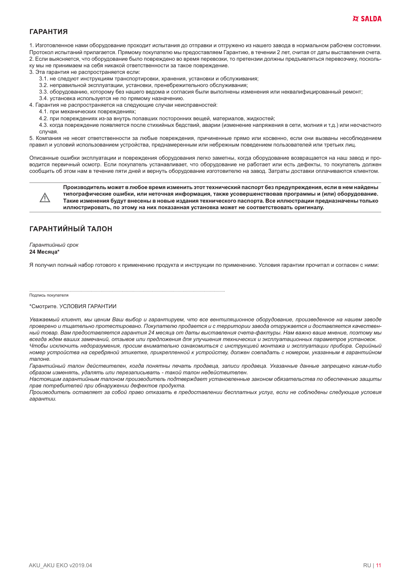#### **ГАРАНТИЯ**

1. Изготовленное нами оборудование проходит испытания до отправки и отгружено из нашего завода в нормальном рабочем состоянии. Протокол испытаний прилагается. Прямому покупателю мы предоставляем Гарантию, в течении 2 лет, считая от даты выставления счета. 2. Если выясняется, что оборудование было повреждено во время перевозки, то претензии должны предъявляться перевозчику, посколь-

ку мы не принимаем на себя никакой ответственности за такое повреждение.

3. Эта гарантия не распространяется если:

- 3.1. не следуют инструкциям транспортировки, хранения, установки и обслуживания;
- 3.2. неправильной эксплуатации, установки, пренебрежительного обслуживания;
- 3.3. оборудованию, которому без нашего ведома и согласия были выполнены изменения или неквалифицированный ремонт;
- 3.4. установка используется не по прямому назначению.
- 4. Гарантия не распространяется на следующие случаи неисправностей:
	- 4.1. при механических повреждениях;
	- 4.2. при повреждениях из-за внутрь попавших посторонних вешей, материалов, жидкостей:
- 4.3. когда повреждение появляется после стихийных бедствий, аварии (изменение напряжения в сети, молния и т.д.) или несчастного случая.

5. Компания не несет ответственности за любые повреждения, причиненные прямо или косвенно, если они вызваны несоблюдением правил и условий использованием устройства, преднамеренным или небрежным поведением пользователей или третьих лиц.

Описанные ошибки эксплуатации и повреждения оборудования легко заметны, когда оборудование возвращается на наш завод и проводится первичный осмотр. Если покупатель устанавливает, что оборудование не работает или есть дефекты, то покупатель должен сообщить об этом нам в течение пяти дней и вернуть оборудование изготовителю на завод. Затраты доставки оплачиваются клиентом.



Производитель может в любое время изменить этот технический паспорт без предупреждения, если в нем найдены типографические ошибки, или неточная информация, также усовершенствовав программы и (или) оборудование. Такие изменения будут внесены в новые издания технического паспорта. Все иллюстрации предназначены только иллюстрировать, по этому на них показанная установка может не соответствовать оригиналу.

## ГАРАНТИЙНЫЙ ТАЛОН

Гарантийный срок 24 Месяца\*

Я получил полный набор готового к применению продукта и инструкции по применению. Условия гарантии прочитал и согласен с ними:

Подпись покупателя

#### \*Смотрите, УСЛОВИЯ ГАРАНТИИ

Уважаемый клиент, мы ценим Ваш выбор и гарантируем, что все вентиляционное оборудование, произведенное на нашем заводе проверено и тщательно протестировано. Покупателю продается и с территории завода отгружается и доставляется качественный товар. Вам предоставляется гарантия 24 месяца от даты выставления счета-фактуры. Нам важно ваше мнение, поэтому мы всегда ждем ваших замечаний, отзывов или предложения для улучшения технических и эксплуатационных параметров установок. Чтобы исключить недоразумения, просим внимательно ознакомиться с инструкцией монтажа и эксплуатации прибора. Серийный номер устройства на серебряной этикетке, прикрепленной к устройству, должен совпадать с номером, указанным в гарантийном талоне.

Гарантийный талон действителен, когда понятны печать продавца, записи продавца. Указанные данные запрещено каким-либо образом изменять, удалять или перезаписывать - такой талон недействителен.

Настоящим гарантийным талоном производитель подтверждает установленные законом обязательства по обеспечению защиты прав потребителей при обнаружении дефектов продукта.

Производитель оставляет за собой право отказать в предоставлении бесплатных услуг, если не соблюдены следующие условия  $2909H$